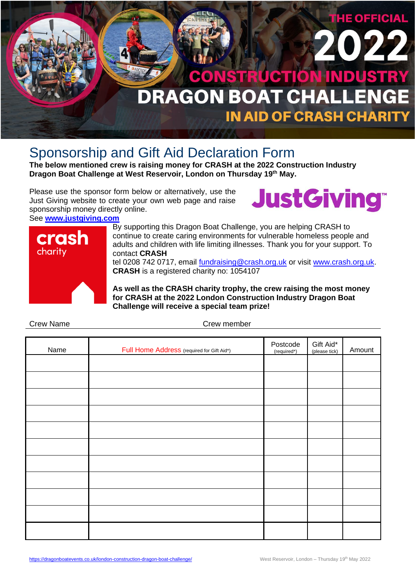

# Sponsorship and Gift Aid Declaration Form

**The below mentioned crew is raising money for CRASH at the 2022 Construction Industry Dragon Boat Challenge at West Reservoir, London on Thursday 19th May.**

Please use the sponsor form below or alternatively, use the Just Giving website to create your own web page and raise sponsorship money directly online.

See **[www.justgiving.com](http://www.justgiving.com/)**





By supporting this Dragon Boat Challenge, you are helping CRASH to continue to create caring environments for vulnerable homeless people and adults and children with life limiting illnesses. Thank you for your support. To contact **CRASH**

tel 0208 742 0717, email [fundraising@crash.org.uk](mailto:fundraising@crash.org.uk) or visit [www.crash.org.uk.](http://www.crash.org.uk/) **CRASH** is a registered charity no: 1054107

**As well as the CRASH charity trophy, the crew raising the most money for CRASH at the 2022 London Construction Industry Dragon Boat Challenge will receive a special team prize!**

| Name | Full Home Address (required for Gift Aid*) | Postcode<br>(required*) | Gift Aid*<br>(please tick) | Amount |
|------|--------------------------------------------|-------------------------|----------------------------|--------|
|      |                                            |                         |                            |        |
|      |                                            |                         |                            |        |
|      |                                            |                         |                            |        |
|      |                                            |                         |                            |        |
|      |                                            |                         |                            |        |
|      |                                            |                         |                            |        |
|      |                                            |                         |                            |        |
|      |                                            |                         |                            |        |
|      |                                            |                         |                            |        |
|      |                                            |                         |                            |        |
|      |                                            |                         |                            |        |

Crew Name Crew member